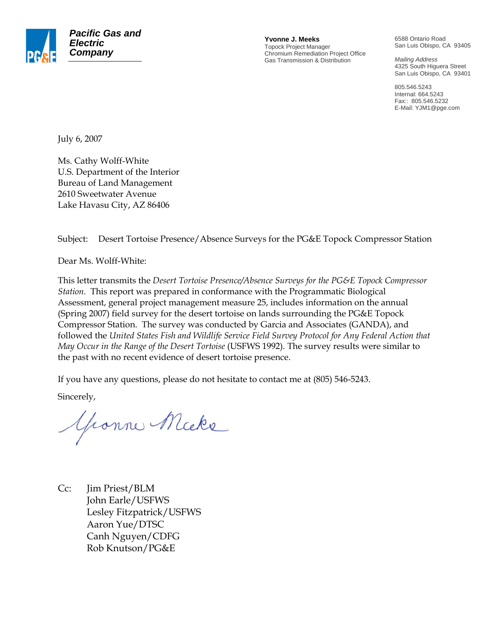

**Yvonne J. Meeks** Topock Project Manager Chromium Remediation Project Office Gas Transmission & Distribution

6588 Ontario Road San Luis Obispo, CA 93405

*Mailing Address*  4325 South Higuera Street San Luis Obispo, CA 93401

805.546.5243 Internal: 664.5243 Fax:: 805.546.5232 E-Mail: YJM1@pge.com

July 6, 2007

Ms. Cathy Wolff-White U.S. Department of the Interior Bureau of Land Management 2610 Sweetwater Avenue Lake Havasu City, AZ 86406

Subject: Desert Tortoise Presence/Absence Surveys for the PG&E Topock Compressor Station

Dear Ms. Wolff-White:

This letter transmits the *Desert Tortoise Presence/Absence Surveys for the PG&E Topock Compressor Station.* This report was prepared in conformance with the Programmatic Biological Assessment, general project management measure 25, includes information on the annual (Spring 2007) field survey for the desert tortoise on lands surrounding the PG&E Topock Compressor Station. The survey was conducted by Garcia and Associates (GANDA), and followed the *United States Fish and Wildlife Service Field Survey Protocol for Any Federal Action that May Occur in the Range of the Desert Tortoise* (USFWS 1992)*.* The survey results were similar to the past with no recent evidence of desert tortoise presence.

If you have any questions, please do not hesitate to contact me at (805) 546-5243.

Sincerely,

Gronne Micke

Cc: Jim Priest/BLM John Earle/USFWS Lesley Fitzpatrick/USFWS Aaron Yue/DTSC Canh Nguyen/CDFG Rob Knutson/PG&E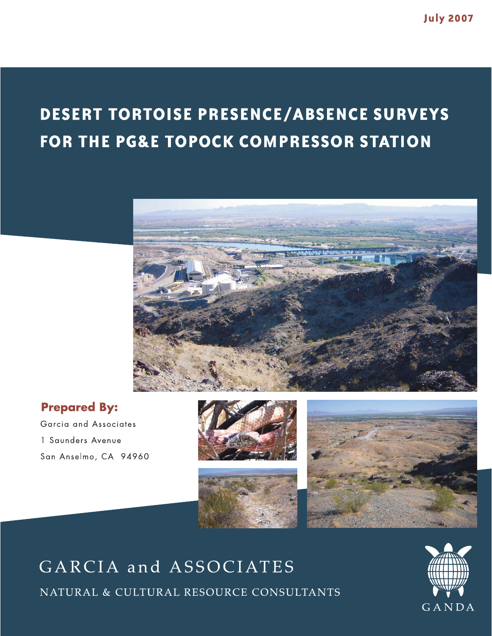# **DESERT TORTOISE PRESENCE/ABSENCE SURVEYS** FOR THE PG&E TOPOCK COMPRESSOR STATION



### **Prepared By:**

Garcia and Associates 1 Saunders Avenue San Anselmo, CA 94960







# GARCIA and ASSOCIATES

NATURAL & CULTURAL RESOURCE CONSULTANTS

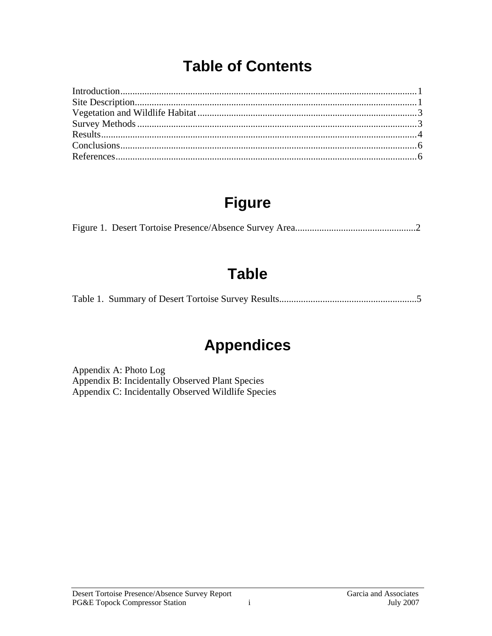### **Table of Contents**

## **Figure**

### **Table**

### **Appendices**

Appendix A: Photo Log Appendix B: Incidentally Observed Plant Species Appendix C: Incidentally Observed Wildlife Species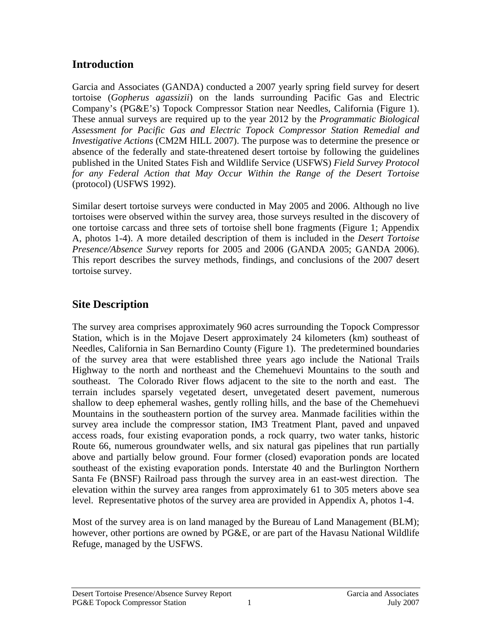#### **Introduction**

Garcia and Associates (GANDA) conducted a 2007 yearly spring field survey for desert tortoise (*Gopherus agassizii*) on the lands surrounding Pacific Gas and Electric Company's (PG&E's) Topock Compressor Station near Needles, California (Figure 1). These annual surveys are required up to the year 2012 by the *Programmatic Biological Assessment for Pacific Gas and Electric Topock Compressor Station Remedial and Investigative Actions* (CM2M HILL 2007). The purpose was to determine the presence or absence of the federally and state-threatened desert tortoise by following the guidelines published in the United States Fish and Wildlife Service (USFWS) *Field Survey Protocol for any Federal Action that May Occur Within the Range of the Desert Tortoise*  (protocol) (USFWS 1992).

Similar desert tortoise surveys were conducted in May 2005 and 2006. Although no live tortoises were observed within the survey area, those surveys resulted in the discovery of one tortoise carcass and three sets of tortoise shell bone fragments (Figure 1; Appendix A, photos 1-4). A more detailed description of them is included in the *Desert Tortoise Presence/Absence Survey* reports for 2005 and 2006 (GANDA 2005; GANDA 2006). This report describes the survey methods, findings, and conclusions of the 2007 desert tortoise survey.

### **Site Description**

The survey area comprises approximately 960 acres surrounding the Topock Compressor Station, which is in the Mojave Desert approximately 24 kilometers (km) southeast of Needles, California in San Bernardino County (Figure 1). The predetermined boundaries of the survey area that were established three years ago include the National Trails Highway to the north and northeast and the Chemehuevi Mountains to the south and southeast. The Colorado River flows adjacent to the site to the north and east. The terrain includes sparsely vegetated desert, unvegetated desert pavement, numerous shallow to deep ephemeral washes, gently rolling hills, and the base of the Chemehuevi Mountains in the southeastern portion of the survey area. Manmade facilities within the survey area include the compressor station, IM3 Treatment Plant, paved and unpaved access roads, four existing evaporation ponds, a rock quarry, two water tanks, historic Route 66, numerous groundwater wells, and six natural gas pipelines that run partially above and partially below ground. Four former (closed) evaporation ponds are located southeast of the existing evaporation ponds. Interstate 40 and the Burlington Northern Santa Fe (BNSF) Railroad pass through the survey area in an east-west direction. The elevation within the survey area ranges from approximately 61 to 305 meters above sea level. Representative photos of the survey area are provided in Appendix A, photos 1-4.

Most of the survey area is on land managed by the Bureau of Land Management (BLM); however, other portions are owned by PG&E, or are part of the Havasu National Wildlife Refuge, managed by the USFWS.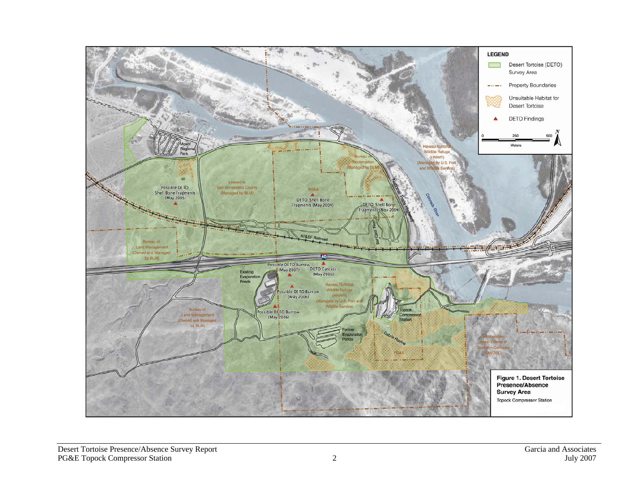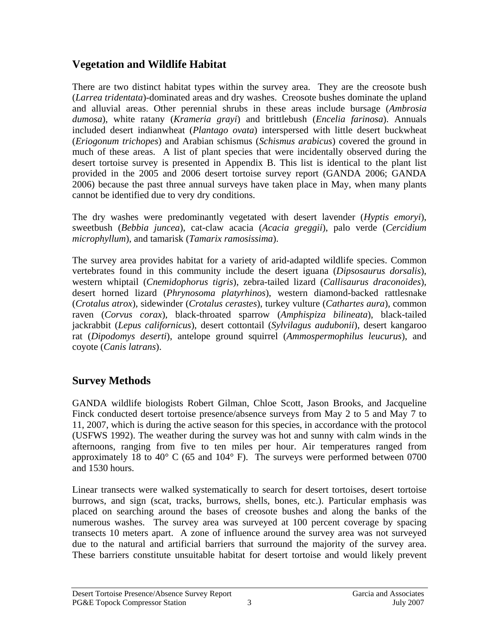#### **Vegetation and Wildlife Habitat**

There are two distinct habitat types within the survey area. They are the creosote bush (*Larrea tridentata*)-dominated areas and dry washes. Creosote bushes dominate the upland and alluvial areas. Other perennial shrubs in these areas include bursage (*Ambrosia dumosa*), white ratany (*Krameria grayi*) and brittlebush (*Encelia farinosa*). Annuals included desert indianwheat (*Plantago ovata*) interspersed with little desert buckwheat (*Eriogonum trichopes*) and Arabian schismus (*Schismus arabicus*) covered the ground in much of these areas. A list of plant species that were incidentally observed during the desert tortoise survey is presented in Appendix B. This list is identical to the plant list provided in the 2005 and 2006 desert tortoise survey report (GANDA 2006; GANDA 2006) because the past three annual surveys have taken place in May, when many plants cannot be identified due to very dry conditions.

The dry washes were predominantly vegetated with desert lavender (*Hyptis emoryi*), sweetbush (*Bebbia juncea*), cat-claw acacia (*Acacia greggii*), palo verde (*Cercidium microphyllum*), and tamarisk (*Tamarix ramosissima*).

The survey area provides habitat for a variety of arid-adapted wildlife species. Common vertebrates found in this community include the desert iguana (*Dipsosaurus dorsalis*), western whiptail (*Cnemidophorus tigris*), zebra-tailed lizard (*Callisaurus draconoides*), desert horned lizard (*Phrynosoma platyrhinos*), western diamond-backed rattlesnake (*Crotalus atrox*), sidewinder (*Crotalus cerastes*), turkey vulture (*Cathartes aura*), common raven (*Corvus corax*), black-throated sparrow (*Amphispiza bilineata*), black-tailed jackrabbit (*Lepus californicus*), desert cottontail (*Sylvilagus audubonii*), desert kangaroo rat (*Dipodomys deserti*), antelope ground squirrel (*Ammospermophilus leucurus*), and coyote (*Canis latrans*).

#### **Survey Methods**

GANDA wildlife biologists Robert Gilman, Chloe Scott, Jason Brooks, and Jacqueline Finck conducted desert tortoise presence/absence surveys from May 2 to 5 and May 7 to 11, 2007, which is during the active season for this species, in accordance with the protocol (USFWS 1992). The weather during the survey was hot and sunny with calm winds in the afternoons, ranging from five to ten miles per hour. Air temperatures ranged from approximately 18 to 40 $^{\circ}$  C (65 and 104 $^{\circ}$  F). The surveys were performed between 0700 and 1530 hours.

Linear transects were walked systematically to search for desert tortoises, desert tortoise burrows, and sign (scat, tracks, burrows, shells, bones, etc.). Particular emphasis was placed on searching around the bases of creosote bushes and along the banks of the numerous washes. The survey area was surveyed at 100 percent coverage by spacing transects 10 meters apart. A zone of influence around the survey area was not surveyed due to the natural and artificial barriers that surround the majority of the survey area. These barriers constitute unsuitable habitat for desert tortoise and would likely prevent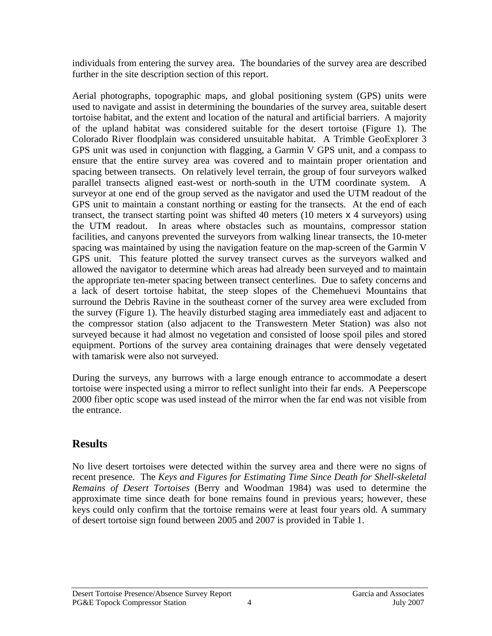individuals from entering the survey area. The boundaries of the survey area are described further in the site description section of this report.

Aerial photographs, topographic maps, and global positioning system (GPS) units were used to navigate and assist in determining the boundaries of the survey area, suitable desert tortoise habitat, and the extent and location of the natural and artificial barriers. A majority of the upland habitat was considered suitable for the desert tortoise (Figure 1). The Colorado River floodplain was considered unsuitable habitat. A Trimble GeoExplorer 3 GPS unit was used in conjunction with flagging, a Garmin V GPS unit, and a compass to ensure that the entire survey area was covered and to maintain proper orientation and spacing between transects. On relatively level terrain, the group of four surveyors walked parallel transects aligned east-west or north-south in the UTM coordinate system. A surveyor at one end of the group served as the navigator and used the UTM readout of the GPS unit to maintain a constant northing or easting for the transects. At the end of each transect, the transect starting point was shifted 40 meters (10 meters x 4 surveyors) using the UTM readout. In areas where obstacles such as mountains, compressor station facilities, and canyons prevented the surveyors from walking linear transects, the 10-meter spacing was maintained by using the navigation feature on the map-screen of the Garmin V GPS unit. This feature plotted the survey transect curves as the surveyors walked and allowed the navigator to determine which areas had already been surveyed and to maintain the appropriate ten-meter spacing between transect centerlines. Due to safety concerns and a lack of desert tortoise habitat, the steep slopes of the Chemehuevi Mountains that surround the Debris Ravine in the southeast corner of the survey area were excluded from the survey (Figure 1). The heavily disturbed staging area immediately east and adjacent to the compressor station (also adjacent to the Transwestern Meter Station) was also not surveyed because it had almost no vegetation and consisted of loose spoil piles and stored equipment. Portions of the survey area containing drainages that were densely vegetated with tamarisk were also not surveyed.

During the surveys, any burrows with a large enough entrance to accommodate a desert tortoise were inspected using a mirror to reflect sunlight into their far ends. A Peeperscope 2000 fiber optic scope was used instead of the mirror when the far end was not visible from the entrance.

#### **Results**

No live desert tortoises were detected within the survey area and there were no signs of recent presence. The *Keys and Figures for Estimating Time Since Death for Shell-skeletal Remains of Desert Tortoises* (Berry and Woodman 1984) was used to determine the approximate time since death for bone remains found in previous years; however, these keys could only confirm that the tortoise remains were at least four years old. A summary of desert tortoise sign found between 2005 and 2007 is provided in Table 1.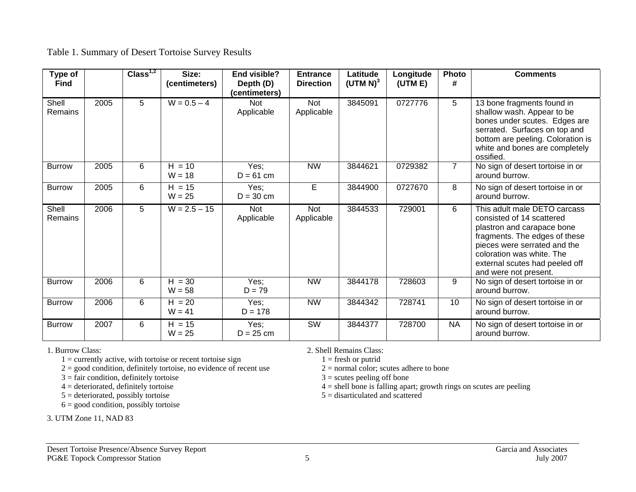#### Table 1. Summary of Desert Tortoise Survey Results

| Type of<br><b>Find</b> |      | Class <sup>1,2</sup> | Size:<br>(centimeters) | End visible?<br>Depth (D)<br>(centimeters) | <b>Entrance</b><br><b>Direction</b> | Latitude<br>$(UTM N)^3$ | Longitude<br>(UTM E) | Photo<br>#     | <b>Comments</b>                                                                                                                                                                                                                                  |
|------------------------|------|----------------------|------------------------|--------------------------------------------|-------------------------------------|-------------------------|----------------------|----------------|--------------------------------------------------------------------------------------------------------------------------------------------------------------------------------------------------------------------------------------------------|
| Shell<br>Remains       | 2005 | 5                    | $W = 0.5 - 4$          | <b>Not</b><br>Applicable                   | <b>Not</b><br>Applicable            | 3845091                 | 0727776              | 5              | 13 bone fragments found in<br>shallow wash. Appear to be<br>bones under scutes. Edges are<br>serrated. Surfaces on top and<br>bottom are peeling. Coloration is<br>white and bones are completely<br>ossified.                                   |
| <b>Burrow</b>          | 2005 | 6                    | $H = 10$<br>$W = 18$   | Yes;<br>$D = 61$ cm                        | <b>NW</b>                           | 3844621                 | 0729382              | $\overline{7}$ | No sign of desert tortoise in or<br>around burrow.                                                                                                                                                                                               |
| <b>Burrow</b>          | 2005 | 6                    | $H = 15$<br>$W = 25$   | Yes;<br>$D = 30$ cm                        | E                                   | 3844900                 | 0727670              | 8              | No sign of desert tortoise in or<br>around burrow.                                                                                                                                                                                               |
| Shell<br>Remains       | 2006 | 5                    | $W = 2.5 - 15$         | Not<br>Applicable                          | Not<br>Applicable                   | 3844533                 | 729001               | 6              | This adult male DETO carcass<br>consisted of 14 scattered<br>plastron and carapace bone<br>fragments. The edges of these<br>pieces were serrated and the<br>coloration was white. The<br>external scutes had peeled off<br>and were not present. |
| <b>Burrow</b>          | 2006 | 6                    | $H = 30$<br>$W = 58$   | Yes;<br>$D = 79$                           | <b>NW</b>                           | 3844178                 | 728603               | 9              | No sign of desert tortoise in or<br>around burrow.                                                                                                                                                                                               |
| <b>Burrow</b>          | 2006 | 6                    | $H = 20$<br>$W = 41$   | Yes;<br>$D = 178$                          | <b>NW</b>                           | 3844342                 | 728741               | 10             | No sign of desert tortoise in or<br>around burrow.                                                                                                                                                                                               |
| <b>Burrow</b>          | 2007 | 6                    | $H = 15$<br>$W = 25$   | Yes;<br>$D = 25$ cm                        | $\overline{\text{SW}}$              | 3844377                 | 728700               | <b>NA</b>      | No sign of desert tortoise in or<br>around burrow.                                                                                                                                                                                               |

1 = currently active, with tortoise or recent tortoise sign  $1 =$  fresh or putrid  $2 =$  good condition, definitely tortoise, no evidence of recent use  $2 =$  normal color; scutes adhere to bone

 $2 =$  good condition, definitely tortoise, no evidence of recent use  $2 =$  normal color; scutes adherent of  $3 =$  scutes peeling off bone

- $3 =$  fair condition, definitely tortoise<br> $4 =$  deteriorated, definitely tortoise
- 
- $5 =$  deteriorated, possibly tortoise

 $6 =$  good condition, possibly tortoise

3. UTM Zone 11, NAD 83

1. Burrow Class: 2. Shell Remains Class:

 $4 =$ shell bone is falling apart; growth rings on scutes are peeling  $5 =$  disarticulated and scattered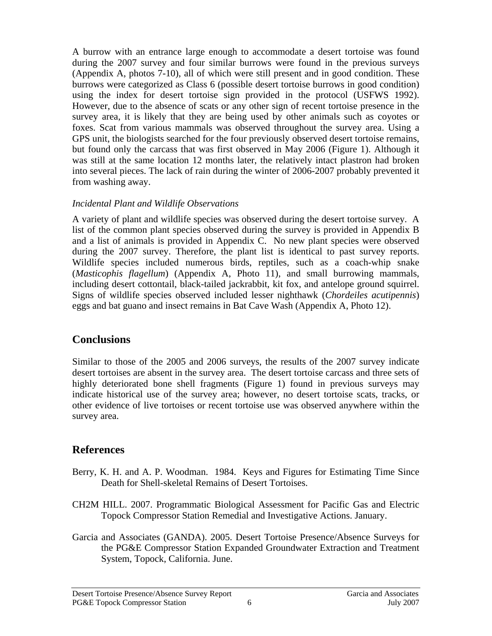A burrow with an entrance large enough to accommodate a desert tortoise was found during the 2007 survey and four similar burrows were found in the previous surveys (Appendix A, photos 7-10), all of which were still present and in good condition. These burrows were categorized as Class 6 (possible desert tortoise burrows in good condition) using the index for desert tortoise sign provided in the protocol (USFWS 1992). However, due to the absence of scats or any other sign of recent tortoise presence in the survey area, it is likely that they are being used by other animals such as coyotes or foxes. Scat from various mammals was observed throughout the survey area. Using a GPS unit, the biologists searched for the four previously observed desert tortoise remains, but found only the carcass that was first observed in May 2006 (Figure 1). Although it was still at the same location 12 months later, the relatively intact plastron had broken into several pieces. The lack of rain during the winter of 2006-2007 probably prevented it from washing away.

#### *Incidental Plant and Wildlife Observations*

A variety of plant and wildlife species was observed during the desert tortoise survey. A list of the common plant species observed during the survey is provided in Appendix B and a list of animals is provided in Appendix C. No new plant species were observed during the 2007 survey. Therefore, the plant list is identical to past survey reports. Wildlife species included numerous birds, reptiles, such as a coach-whip snake (*Masticophis flagellum*) (Appendix A, Photo 11), and small burrowing mammals, including desert cottontail, black-tailed jackrabbit, kit fox, and antelope ground squirrel. Signs of wildlife species observed included lesser nighthawk (*Chordeiles acutipennis*) eggs and bat guano and insect remains in Bat Cave Wash (Appendix A, Photo 12).

#### **Conclusions**

Similar to those of the 2005 and 2006 surveys, the results of the 2007 survey indicate desert tortoises are absent in the survey area. The desert tortoise carcass and three sets of highly deteriorated bone shell fragments (Figure 1) found in previous surveys may indicate historical use of the survey area; however, no desert tortoise scats, tracks, or other evidence of live tortoises or recent tortoise use was observed anywhere within the survey area.

#### **References**

- Berry, K. H. and A. P. Woodman. 1984. Keys and Figures for Estimating Time Since Death for Shell-skeletal Remains of Desert Tortoises.
- CH2M HILL. 2007. Programmatic Biological Assessment for Pacific Gas and Electric Topock Compressor Station Remedial and Investigative Actions. January.
- Garcia and Associates (GANDA). 2005. Desert Tortoise Presence/Absence Surveys for the PG&E Compressor Station Expanded Groundwater Extraction and Treatment System, Topock, California. June.